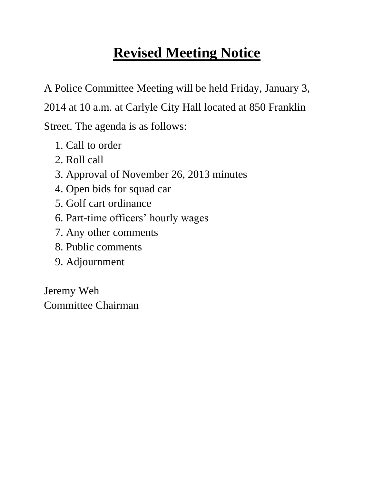#### **Revised Meeting Notice**

A Police Committee Meeting will be held Friday, January 3, 2014 at 10 a.m. at Carlyle City Hall located at 850 Franklin Street. The agenda is as follows:

- 1. Call to order
- 2. Roll call
- 3. Approval of November 26, 2013 minutes
- 4. Open bids for squad car
- 5. Golf cart ordinance
- 6. Part-time officers' hourly wages
- 7. Any other comments
- 8. Public comments
- 9. Adjournment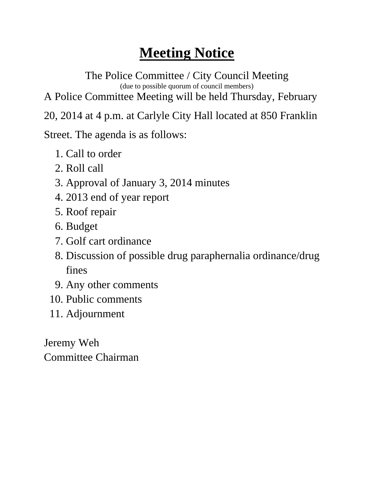The Police Committee / City Council Meeting (due to possible quorum of council members) A Police Committee Meeting will be held Thursday, February

20, 2014 at 4 p.m. at Carlyle City Hall located at 850 Franklin

Street. The agenda is as follows:

- 1. Call to order
- 2. Roll call
- 3. Approval of January 3, 2014 minutes
- 4. 2013 end of year report
- 5. Roof repair
- 6. Budget
- 7. Golf cart ordinance
- 8. Discussion of possible drug paraphernalia ordinance/drug fines
- 9. Any other comments
- 10. Public comments
- 11. Adjournment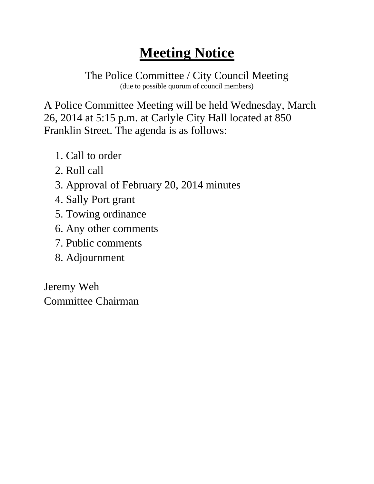The Police Committee / City Council Meeting (due to possible quorum of council members)

A Police Committee Meeting will be held Wednesday, March 26, 2014 at 5:15 p.m. at Carlyle City Hall located at 850 Franklin Street. The agenda is as follows:

- 1. Call to order
- 2. Roll call
- 3. Approval of February 20, 2014 minutes
- 4. Sally Port grant
- 5. Towing ordinance
- 6. Any other comments
- 7. Public comments
- 8. Adjournment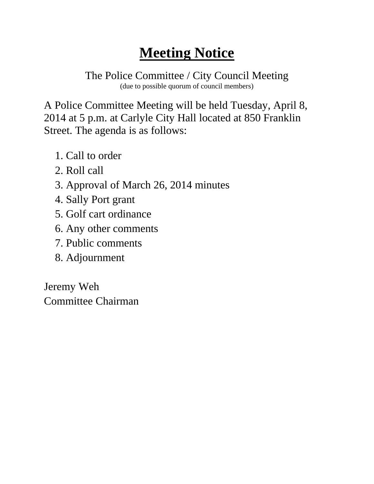The Police Committee / City Council Meeting (due to possible quorum of council members)

A Police Committee Meeting will be held Tuesday, April 8, 2014 at 5 p.m. at Carlyle City Hall located at 850 Franklin Street. The agenda is as follows:

- 1. Call to order
- 2. Roll call
- 3. Approval of March 26, 2014 minutes
- 4. Sally Port grant
- 5. Golf cart ordinance
- 6. Any other comments
- 7. Public comments
- 8. Adjournment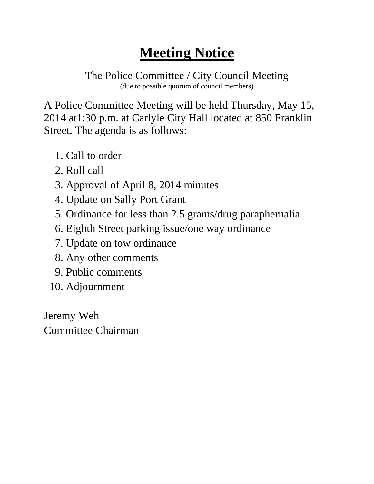The Police Committee / City Council Meeting (due to possible quorum of council members)

A Police Committee Meeting will be held Thursday, May 15, 2014 at1:30 p.m. at Carlyle City Hall located at 850 Franklin Street. The agenda is as follows:

- 1. Call to order
- 2. Roll call
- 3. Approval of April 8, 2014 minutes
- 4. Update on Sally Port Grant
- 5. Ordinance for less than 2.5 grams/drug paraphernalia
- 6. Eighth Street parking issue/one way ordinance
- 7. Update on tow ordinance
- 8. Any other comments
- 9. Public comments
- 10. Adjournment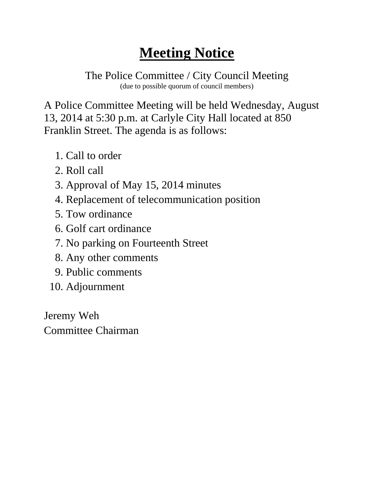The Police Committee / City Council Meeting (due to possible quorum of council members)

A Police Committee Meeting will be held Wednesday, August 13, 2014 at 5:30 p.m. at Carlyle City Hall located at 850 Franklin Street. The agenda is as follows:

- 1. Call to order
- 2. Roll call
- 3. Approval of May 15, 2014 minutes
- 4. Replacement of telecommunication position
- 5. Tow ordinance
- 6. Golf cart ordinance
- 7. No parking on Fourteenth Street
- 8. Any other comments
- 9. Public comments
- 10. Adjournment